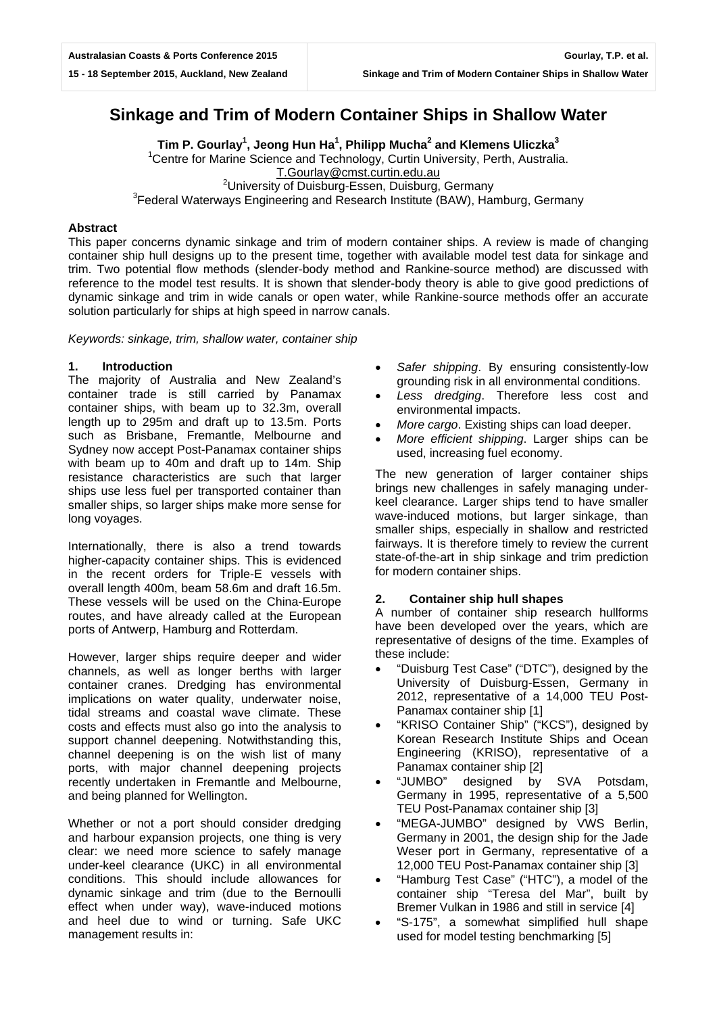# **Sinkage and Trim of Modern Container Ships in Shallow Water**

**Tim P. Gourlay1 , Jeong Hun Ha<sup>1</sup> , Philipp Mucha<sup>2</sup> and Klemens Uliczka<sup>3</sup>** <sup>1</sup> Centre for Marine Science and Technology, Curtin University, Perth, Australia. [T.Gourlay@cmst.curtin.edu.au](mailto:T.Gourlay@cmst.curtin.edu.au)<br><sup>2</sup> Piversity of Duisburg Essen, Duisburg University of Duisburg-Essen, Duisburg, Germany <sup>3</sup><br>Seederal Waterways Engineering and Besearch Institute (BAW), Ha <sup>3</sup> Federal Waterways Engineering and Research Institute (BAW), Hamburg, Germany

## **Abstract**

This paper concerns dynamic sinkage and trim of modern container ships. A review is made of changing container ship hull designs up to the present time, together with available model test data for sinkage and trim. Two potential flow methods (slender-body method and Rankine-source method) are discussed with reference to the model test results. It is shown that slender-body theory is able to give good predictions of dynamic sinkage and trim in wide canals or open water, while Rankine-source methods offer an accurate solution particularly for ships at high speed in narrow canals.

*Keywords: sinkage, trim, shallow water, container ship*

## **1. Introduction**

The majority of Australia and New Zealand's container trade is still carried by Panamax container ships, with beam up to 32.3m, overall length up to 295m and draft up to 13.5m. Ports such as Brisbane, Fremantle, Melbourne and Sydney now accept Post-Panamax container ships with beam up to 40m and draft up to 14m. Ship resistance characteristics are such that larger ships use less fuel per transported container than smaller ships, so larger ships make more sense for long voyages.

Internationally, there is also a trend towards higher-capacity container ships. This is evidenced in the recent orders for Triple-E vessels with overall length 400m, beam 58.6m and draft 16.5m. These vessels will be used on the China-Europe routes, and have already called at the European ports of Antwerp, Hamburg and Rotterdam.

However, larger ships require deeper and wider channels, as well as longer berths with larger container cranes. Dredging has environmental implications on water quality, underwater noise, tidal streams and coastal wave climate. These costs and effects must also go into the analysis to support channel deepening. Notwithstanding this, channel deepening is on the wish list of many ports, with major channel deepening projects recently undertaken in Fremantle and Melbourne, and being planned for Wellington.

Whether or not a port should consider dredging and harbour expansion projects, one thing is very clear: we need more science to safely manage under-keel clearance (UKC) in all environmental conditions. This should include allowances for dynamic sinkage and trim (due to the Bernoulli effect when under way), wave-induced motions and heel due to wind or turning. Safe UKC management results in:

- Safer shipping. By ensuring consistently-low grounding risk in all environmental conditions.
- *Less dredging*. Therefore less cost and environmental impacts.
- *More cargo*. Existing ships can load deeper.
- *More efficient shipping*. Larger ships can be used, increasing fuel economy.

The new generation of larger container ships brings new challenges in safely managing underkeel clearance. Larger ships tend to have smaller wave-induced motions, but larger sinkage, than smaller ships, especially in shallow and restricted fairways. It is therefore timely to review the current state-of-the-art in ship sinkage and trim prediction for modern container ships.

## **2. Container ship hull shapes**

A number of container ship research hullforms have been developed over the years, which are representative of designs of the time. Examples of these include:

- "Duisburg Test Case" ("DTC"), designed by the University of Duisburg-Essen, Germany in 2012, representative of a 14,000 TEU Post-Panamax container ship [1]
- "KRISO Container Ship" ("KCS"), designed by Korean Research Institute Ships and Ocean Engineering (KRISO), representative of a Panamax container ship [2]
- "JUMBO" designed by SVA Potsdam, Germany in 1995, representative of a 5,500 TEU Post-Panamax container ship [3]
- "MEGA-JUMBO" designed by VWS Berlin, Germany in 2001, the design ship for the Jade Weser port in Germany, representative of a 12,000 TEU Post-Panamax container ship [3]
- "Hamburg Test Case" ("HTC"), a model of the container ship "Teresa del Mar", built by Bremer Vulkan in 1986 and still in service [4]
- "S-175", a somewhat simplified hull shape used for model testing benchmarking [5]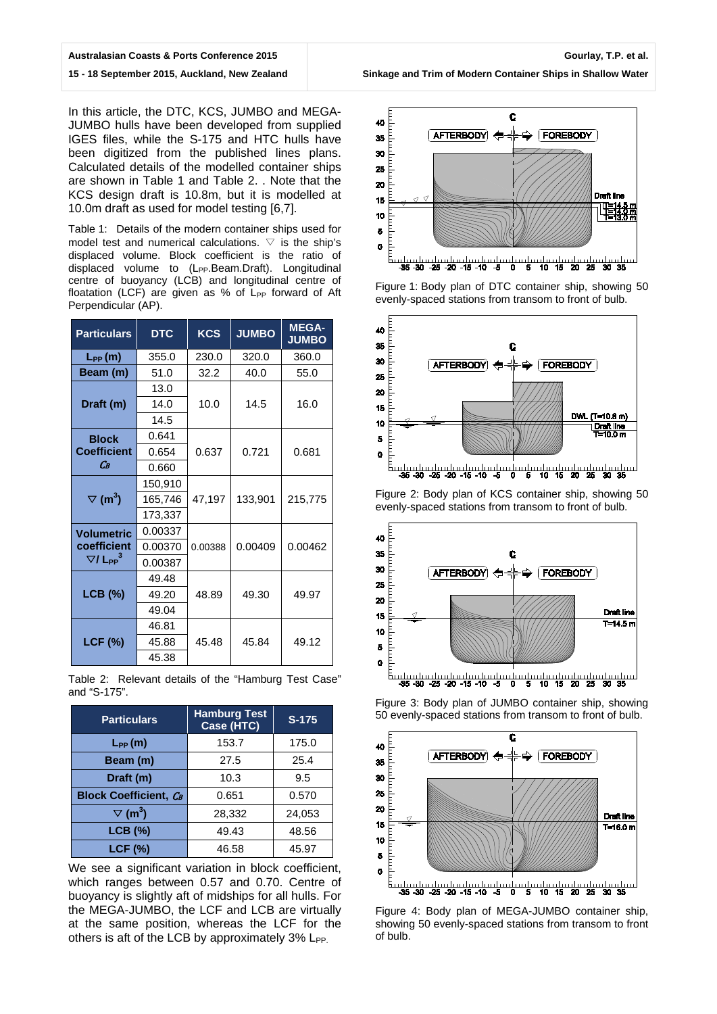#### **Australasian Coasts & Ports Conference 2015**

## **15 - 18 September 2015, Auckland, New Zealand**

In this article, the DTC, KCS, JUMBO and MEGA-JUMBO hulls have been developed from supplied IGES files, while the S-175 and HTC hulls have been digitized from the published lines plans. Calculated details of the modelled container ships are shown in Table 1 and Table 2. . Note that the KCS design draft is 10.8m, but it is modelled at 10.0m draft as used for model testing [6,7].

Table 1: Details of the modern container ships used for model test and numerical calculations.  $\triangledown$  is the ship's displaced volume. Block coefficient is the ratio of displaced volume to (L<sub>PP</sub>.Beam.Draft). Longitudinal centre of buoyancy (LCB) and longitudinal centre of floatation (LCF) are given as % of  $L_{PP}$  forward of Aft Perpendicular (AP).

| <b>Particulars</b>                             | <b>DTC</b> | <b>KCS</b> | <b>JUMBO</b> | <b>MEGA-</b><br><b>JUMBO</b> |
|------------------------------------------------|------------|------------|--------------|------------------------------|
| $L_{PP}(m)$                                    | 355.0      | 230.0      | 320.0        | 360.0                        |
| Beam (m)                                       | 51.0       | 32.2       | 40.0         | 55.0                         |
| Draft (m)                                      | 13.0       |            |              | 16.0                         |
|                                                | 14.0       | 10.0       | 14.5         |                              |
|                                                | 14.5       |            |              |                              |
| <b>Block</b><br><b>Coefficient</b>             | 0.641      |            | 0.721        | 0.681                        |
|                                                | 0.654      | 0.637      |              |                              |
| Cв                                             | 0.660      |            |              |                              |
| $\triangledown$ (m <sup>3</sup> )              | 150,910    |            | 133,901      | 215,775                      |
|                                                | 165,746    | 47,197     |              |                              |
|                                                | 173,337    |            |              |                              |
| <b>Volumetric</b>                              | 0.00337    |            |              | 0.00462                      |
| coefficient<br>$\nabla$ / L <sub>PP</sub> $^3$ | 0.00370    | 0.00388    | 0.00409      |                              |
|                                                | 0.00387    |            |              |                              |
| <b>LCB</b> (%)                                 | 49.48      |            | 49.30        | 49.97                        |
|                                                | 49.20      | 48.89      |              |                              |
|                                                | 49.04      |            |              |                              |
| <b>LCF (%)</b>                                 | 46.81      |            |              | 49.12                        |
|                                                | 45.88      | 45.48      | 45.84        |                              |
|                                                | 45.38      |            |              |                              |

Table 2: Relevant details of the "Hamburg Test Case" and "S-175".

| <b>Particulars</b>                | <b>Hamburg Test</b><br>Case (HTC) | $S-175$ |  |
|-----------------------------------|-----------------------------------|---------|--|
| $L_{PP}(m)$                       | 153.7                             | 175.0   |  |
| Beam (m)                          | 27.5                              | 25.4    |  |
| Draft (m)                         | 10.3                              | 9.5     |  |
| <b>Block Coefficient, CB</b>      | 0.651                             | 0.570   |  |
| $\triangledown$ (m <sup>3</sup> ) | 28,332                            | 24,053  |  |
| <b>LCB</b> (%)                    | 49.43                             | 48.56   |  |
| <b>LCF (%)</b>                    | 46.58                             | 45.97   |  |

We see a significant variation in block coefficient. which ranges between 0.57 and 0.70. Centre of buoyancy is slightly aft of midships for all hulls. For the MEGA-JUMBO, the LCF and LCB are virtually at the same position, whereas the LCF for the others is aft of the LCB by approximately  $3\%$  L<sub>PP.</sub>



**Sinkage and Trim of Modern Container Ships in Shallow Water**

4 5 10 15 Figure 1: Body plan of DTC container ship, showing 50



Figure 2: Body plan of KCS container ship, showing 50 evenly-spaced stations from transom to front of bulb.



Figure 3: Body plan of JUMBO container ship, showing 50 evenly-spaced stations from transom to front of bulb.



Figure 4: Body plan of MEGA-JUMBO container ship, showing 50 evenly-spaced stations from transom to front of bulb.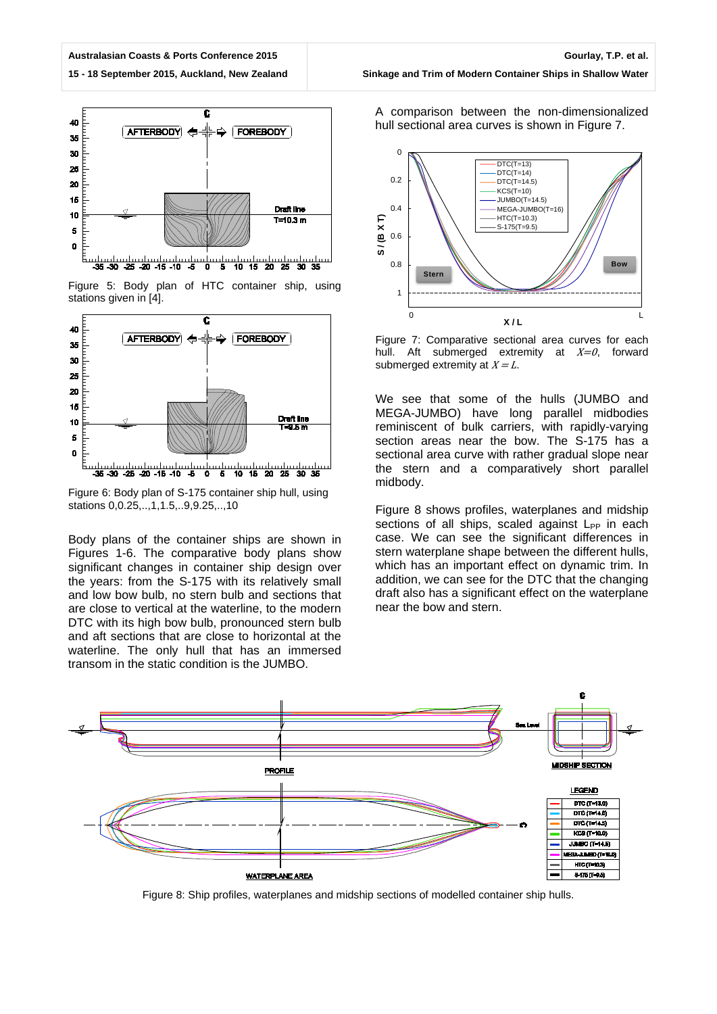#### **15 - 18 September 2015, Auckland, New Zealand**



Figure 5: Body plan of HTC container ship, using stations given in [4].



Figure 6: Body plan of S-175 container ship hull, using stations 0,0.25,..,1,1.5,..9,9.25,..,10

Body plans of the container ships are shown in Figures 1-6. The comparative body plans show significant changes in container ship design over the years: from the S-175 with its relatively small and low bow bulb, no stern bulb and sections that are close to vertical at the waterline, to the modern DTC with its high bow bulb, pronounced stern bulb and aft sections that are close to horizontal at the waterline. The only hull that has an immersed transom in the static condition is the JUMBO.

**Sinkage and Trim of Modern Container Ships in Shallow Water**

A comparison between the non-dimensionalized hull sectional area curves is shown in Figure 7.



Figure 7: Comparative sectional area curves for each hull. Aft submerged extremity at  $X=0$ , forward submerged extremity at  $X = L$ .

We see that some of the hulls (JUMBO and MEGA-JUMBO) have long parallel midbodies reminiscent of bulk carriers, with rapidly-varying section areas near the bow. The S-175 has a sectional area curve with rather gradual slope near the stern and a comparatively short parallel midbody.

Figure 8 shows profiles, waterplanes and midship sections of all ships, scaled against  $L_{PP}$  in each case. We can see the significant differences in stern waterplane shape between the different hulls, which has an important effect on dynamic trim. In addition, we can see for the DTC that the changing draft also has a significant effect on the waterplane near the bow and stern.



Figure 8: Ship profiles, waterplanes and midship sections of modelled container ship hulls.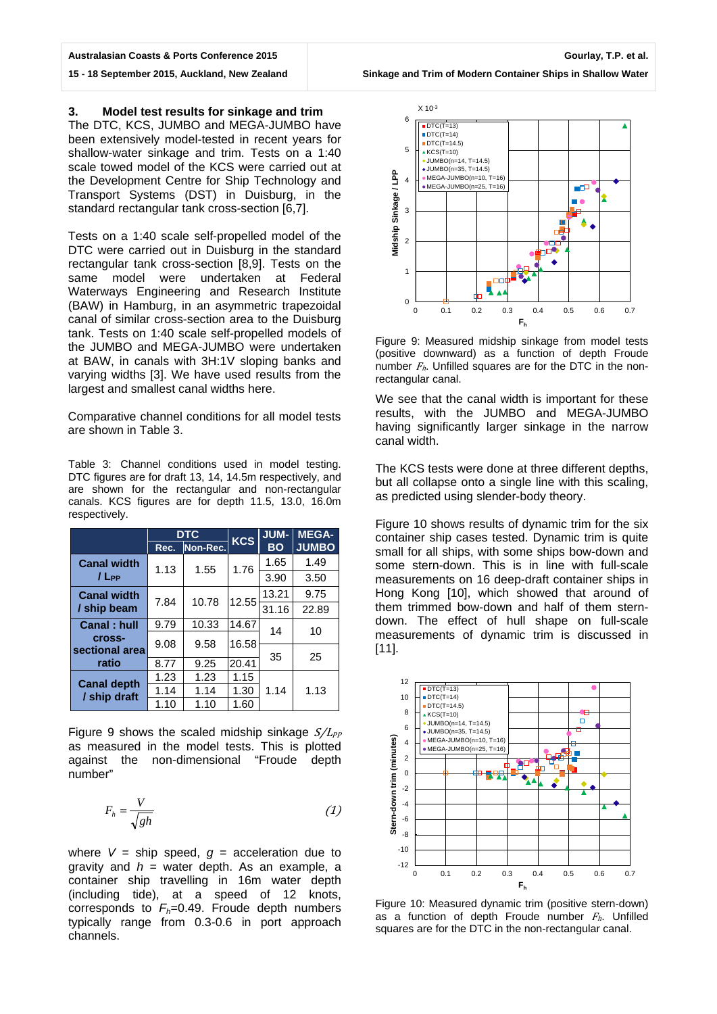#### **Australasian Coasts & Ports Conference 2015**

**15 - 18 September 2015, Auckland, New Zealand**

### **3. Model test results for sinkage and trim**

The DTC, KCS, JUMBO and MEGA-JUMBO have been extensively model-tested in recent years for shallow-water sinkage and trim. Tests on a 1:40 scale towed model of the KCS were carried out at the Development Centre for Ship Technology and Transport Systems (DST) in Duisburg, in the standard rectangular tank cross-section [6,7].

Tests on a 1:40 scale self-propelled model of the DTC were carried out in Duisburg in the standard rectangular tank cross-section [8,9]. Tests on the same model were undertaken at Federal Waterways Engineering and Research Institute (BAW) in Hamburg, in an asymmetric trapezoidal canal of similar cross-section area to the Duisburg tank. Tests on 1:40 scale self-propelled models of the JUMBO and MEGA-JUMBO were undertaken at BAW, in canals with 3H:1V sloping banks and varying widths [3]. We have used results from the largest and smallest canal widths here.

Comparative channel conditions for all model tests are shown in Table 3.

Table 3: Channel conditions used in model testing. DTC figures are for draft 13, 14, 14.5m respectively, and are shown for the rectangular and non-rectangular canals. KCS figures are for depth 11.5, 13.0, 16.0m respectively.

|                                    | <b>DTC</b> |          | <b>KCS</b> | JUM-      | <b>MEGA-</b> |
|------------------------------------|------------|----------|------------|-----------|--------------|
|                                    | Rec.       | Non-Rec. |            | <b>BO</b> | <b>JUMBO</b> |
| <b>Canal width</b><br>$/ L_{PP}$   | 1.13       | 1.55     | 1.76       | 1.65      | 1.49         |
|                                    |            |          |            | 3.90      | 3.50         |
| <b>Canal width</b><br>/ ship beam  | 7.84       | 10.78    | 12.55      | 13.21     | 9.75         |
|                                    |            |          |            | 31.16     | 22.89        |
| Canal: hull                        | 9.79       | 10.33    | 14.67      | 14<br>35  | 10           |
| cross-                             | 9.08       | 9.58     | 16.58      |           |              |
| sectional area                     |            |          |            |           | 25           |
| ratio                              | 8.77       | 9.25     | 20.41      |           |              |
| <b>Canal depth</b><br>/ ship draft | 1.23       | 1.23     | 1.15       | 1.14      | 1.13         |
|                                    | 1.14       | 1.14     | 1.30       |           |              |
|                                    | 1.10       | 1.10     | 1.60       |           |              |

Figure 9 shows the scaled midship sinkage  $S/L_{PP}$ as measured in the model tests. This is plotted against the non-dimensional "Froude depth number"

$$
F_h = \frac{V}{\sqrt{gh}}\tag{1}
$$

where  $V =$  ship speed,  $g =$  acceleration due to gravity and  $h =$  water depth. As an example, a container ship travelling in 16m water depth (including tide), at a speed of 12 knots, corresponds to  $F_h$ =0.49. Froude depth numbers typically range from 0.3-0.6 in port approach channels.



Figure 9: Measured midship sinkage from model tests (positive downward) as a function of depth Froude number  $F<sub>h</sub>$ . Unfilled squares are for the DTC in the nonrectangular canal.

We see that the canal width is important for these results, with the JUMBO and MEGA-JUMBO having significantly larger sinkage in the narrow canal width.

The KCS tests were done at three different depths, but all collapse onto a single line with this scaling, as predicted using slender-body theory.

Figure 10 shows results of dynamic trim for the six container ship cases tested. Dynamic trim is quite small for all ships, with some ships bow-down and some stern-down. This is in line with full-scale measurements on 16 deep-draft container ships in Hong Kong [10], which showed that around of them trimmed bow-down and half of them sterndown. The effect of hull shape on full-scale measurements of dynamic trim is discussed in [11].



Figure 10: Measured dynamic trim (positive stern-down) as a function of depth Froude number  $F_h$ . Unfilled squares are for the DTC in the non-rectangular canal.

**Sinkage and Trim of Modern Container Ships in Shallow Water**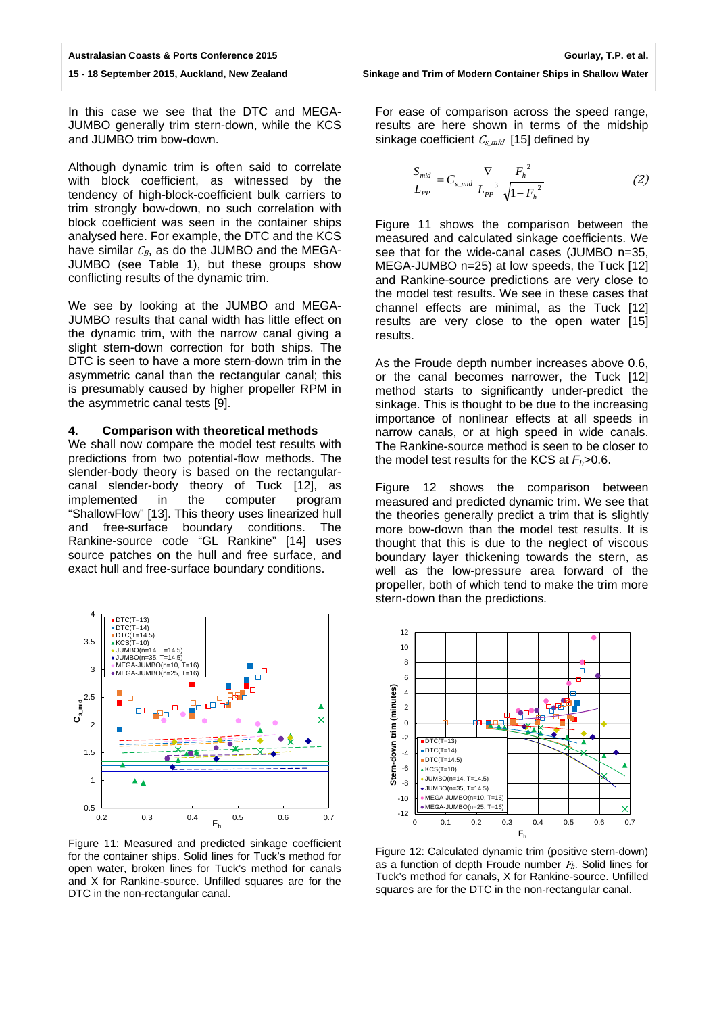In this case we see that the DTC and MEGA-JUMBO generally trim stern-down, while the KCS and JUMBO trim bow-down.

Although dynamic trim is often said to correlate with block coefficient, as witnessed by the tendency of high-block-coefficient bulk carriers to trim strongly bow-down, no such correlation with block coefficient was seen in the container ships analysed here. For example, the DTC and the KCS have similar  $C_B$ , as do the JUMBO and the MEGA-JUMBO (see Table 1), but these groups show conflicting results of the dynamic trim.

We see by looking at the JUMBO and MEGA-JUMBO results that canal width has little effect on the dynamic trim, with the narrow canal giving a slight stern-down correction for both ships. The DTC is seen to have a more stern-down trim in the asymmetric canal than the rectangular canal; this is presumably caused by higher propeller RPM in the asymmetric canal tests [9].

### **4. Comparison with theoretical methods**

We shall now compare the model test results with predictions from two potential-flow methods. The slender-body theory is based on the rectangularcanal slender-body theory of Tuck [12], as implemented in the computer program "ShallowFlow" [13]. This theory uses linearized hull and free-surface boundary conditions. The Rankine-source code "GL Rankine" [14] uses source patches on the hull and free surface, and exact hull and free-surface boundary conditions.



Figure 11: Measured and predicted sinkage coefficient for the container ships. Solid lines for Tuck's method for open water, broken lines for Tuck's method for canals and X for Rankine-source. Unfilled squares are for the DTC in the non-rectangular canal.

For ease of comparison across the speed range, results are here shown in terms of the midship sinkage coefficient  $C_{smid}$  [15] defined by

$$
\frac{S_{mid}}{L_{PP}} = C_{s\_mid} \frac{\nabla}{L_{PP}^3} \frac{F_h^2}{\sqrt{1 - F_h^2}}
$$
 (2)

Figure 11 shows the comparison between the measured and calculated sinkage coefficients. We see that for the wide-canal cases (JUMBO n=35, MEGA-JUMBO n=25) at low speeds, the Tuck [12] and Rankine-source predictions are very close to the model test results. We see in these cases that channel effects are minimal, as the Tuck [12] results are very close to the open water [15] results.

As the Froude depth number increases above 0.6, or the canal becomes narrower, the Tuck [12] method starts to significantly under-predict the sinkage. This is thought to be due to the increasing importance of nonlinear effects at all speeds in narrow canals, or at high speed in wide canals. The Rankine-source method is seen to be closer to the model test results for the KCS at  $F_h$ >0.6.

Figure 12 shows the comparison between measured and predicted dynamic trim. We see that the theories generally predict a trim that is slightly more bow-down than the model test results. It is thought that this is due to the neglect of viscous boundary layer thickening towards the stern, as well as the low-pressure area forward of the propeller, both of which tend to make the trim more stern-down than the predictions.



Figure 12: Calculated dynamic trim (positive stern-down) as a function of depth Froude number  $F<sub>h</sub>$ . Solid lines for Tuck's method for canals, X for Rankine-source. Unfilled squares are for the DTC in the non-rectangular canal.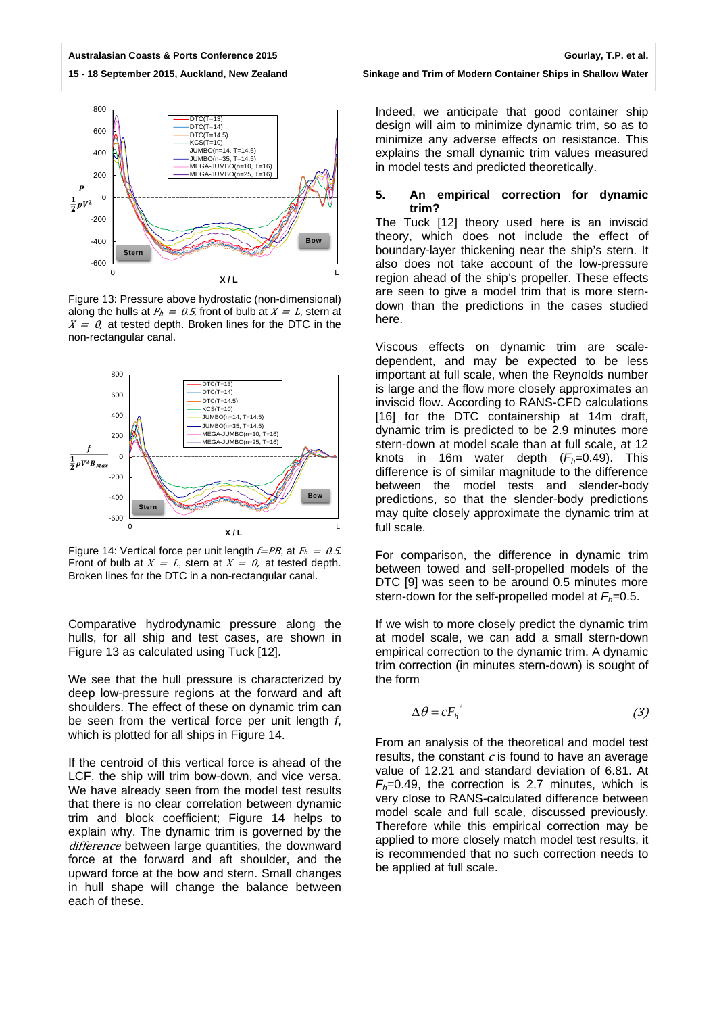**Australasian Coasts & Ports Conference 2015 15 - 18 September 2015, Auckland, New Zealand**

-600

800  $\overline{DTC(T=13)}$  $DTC(T=14)$ 600  $DTC(T=14.5)$  $KCS(T=10)$ 400 JUMBO(n=14, T=14.5) JUMBO(n=35, T=14.5) MEGA-JUMBO(n=10, T=16) 200 MEGA-JUMBO(n=25, T=16)  $\frac{1}{2}\rho V^2$ 0 -200  $-400$ **Bow Stern**

Figure 13: Pressure above hydrostatic (non-dimensional) along the hulls at  $F_h = 0.5$ , front of bulb at  $X = L$ , stern at  $X = 0$ , at tested depth. Broken lines for the DTC in the non-rectangular canal.

**X / L**

0  $\qquad \qquad \Box$ 



Figure 14: Vertical force per unit length  $f=PB$ , at  $F_h = 0.5$ . Front of bulb at  $X = L$ , stern at  $X = 0$ , at tested depth. Broken lines for the DTC in a non-rectangular canal.

Comparative hydrodynamic pressure along the hulls, for all ship and test cases, are shown in Figure 13 as calculated using Tuck [12].

We see that the hull pressure is characterized by deep low-pressure regions at the forward and aft shoulders. The effect of these on dynamic trim can be seen from the vertical force per unit length *f*, which is plotted for all ships in Figure 14.

If the centroid of this vertical force is ahead of the LCF, the ship will trim bow-down, and vice versa. We have already seen from the model test results that there is no clear correlation between dynamic trim and block coefficient; Figure 14 helps to explain why. The dynamic trim is governed by the difference between large quantities, the downward force at the forward and aft shoulder, and the upward force at the bow and stern. Small changes in hull shape will change the balance between each of these.

Indeed, we anticipate that good container ship design will aim to minimize dynamic trim, so as to minimize any adverse effects on resistance. This explains the small dynamic trim values measured in model tests and predicted theoretically.

## **5. An empirical correction for dynamic trim?**

The Tuck [12] theory used here is an inviscid theory, which does not include the effect of boundary-layer thickening near the ship's stern. It also does not take account of the low-pressure region ahead of the ship's propeller. These effects are seen to give a model trim that is more sterndown than the predictions in the cases studied here.

Viscous effects on dynamic trim are scaledependent, and may be expected to be less important at full scale, when the Reynolds number is large and the flow more closely approximates an inviscid flow. According to RANS-CFD calculations [16] for the DTC containership at 14m draft, dynamic trim is predicted to be 2.9 minutes more stern-down at model scale than at full scale, at 12 knots in 16m water depth (*Fh=*0.49). This difference is of similar magnitude to the difference between the model tests and slender-body predictions, so that the slender-body predictions may quite closely approximate the dynamic trim at full scale.

For comparison, the difference in dynamic trim between towed and self-propelled models of the DTC [9] was seen to be around 0.5 minutes more stern-down for the self-propelled model at *Fh=*0.5.

If we wish to more closely predict the dynamic trim at model scale, we can add a small stern-down empirical correction to the dynamic trim. A dynamic trim correction (in minutes stern-down) is sought of the form

$$
\Delta \theta = c F_h^2 \tag{3}
$$

From an analysis of the theoretical and model test results, the constant  $c$  is found to have an average value of 12.21 and standard deviation of 6.81. At *Fh=*0.49, the correction is 2.7 minutes, which is very close to RANS-calculated difference between model scale and full scale, discussed previously. Therefore while this empirical correction may be applied to more closely match model test results, it is recommended that no such correction needs to be applied at full scale.